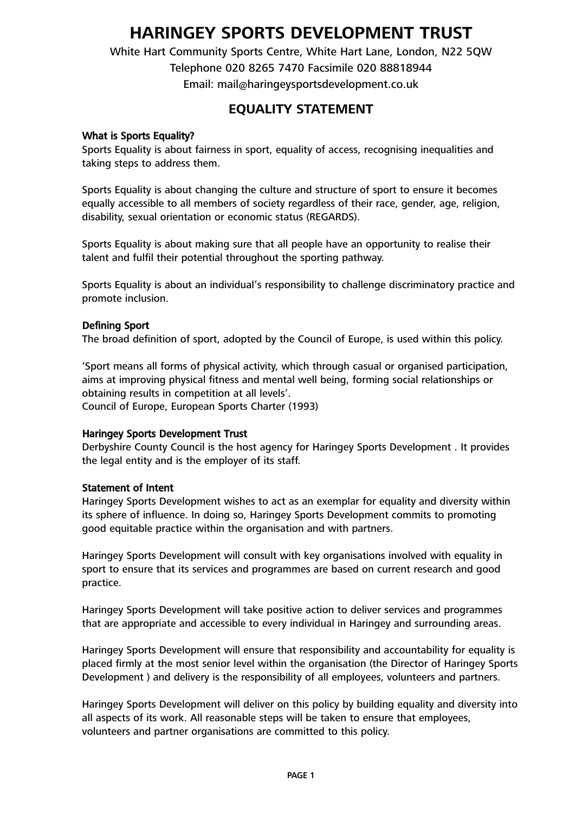# **HARINGEY SPORTS DEVELOPMENT TRUST**

White Hart Community Sports Centre, White Hart Lane, London, N22 5QW Telephone 020 8265 7470 Facsimile 020 88818944 Email: mail@haringeysportsdevelopment.co.uk

# **EQUALITY STATEMENT**

#### What is Sports Equality?

Sports Equality is about fairness in sport, equality of access, recognising inequalities and taking steps to address them.

Sports Equality is about changing the culture and structure of sport to ensure it becomes equally accessible to all members of society regardless of their race, gender, age, religion, disability, sexual orientation or economic status (REGARDS).

Sports Equality is about making sure that all people have an opportunity to realise their talent and fulfil their potential throughout the sporting pathway.

Sports Equality is about an individual's responsibility to challenge discriminatory practice and promote inclusion.

#### Defining Sport

The broad definition of sport, adopted by the Council of Europe, is used within this policy.

'Sport means all forms of physical activity, which through casual or organised participation, aims at improving physical fitness and mental well being, forming social relationships or obtaining results in competition at all levels'.

Council of Europe, European Sports Charter (1993)

#### Haringey Sports Development Trust

Derbyshire County Council is the host agency for Haringey Sports Development . It provides the legal entity and is the employer of its staff.

#### Statement of Intent

Haringey Sports Development wishes to act as an exemplar for equality and diversity within its sphere of influence. In doing so, Haringey Sports Development commits to promoting good equitable practice within the organisation and with partners.

Haringey Sports Development will consult with key organisations involved with equality in sport to ensure that its services and programmes are based on current research and good practice.

Haringey Sports Development will take positive action to deliver services and programmes that are appropriate and accessible to every individual in Haringey and surrounding areas.

Haringey Sports Development will ensure that responsibility and accountability for equality is placed firmly at the most senior level within the organisation (the Director of Haringey Sports Development ) and delivery is the responsibility of all employees, volunteers and partners.

Haringey Sports Development will deliver on this policy by building equality and diversity into all aspects of its work. All reasonable steps will be taken to ensure that employees, volunteers and partner organisations are committed to this policy.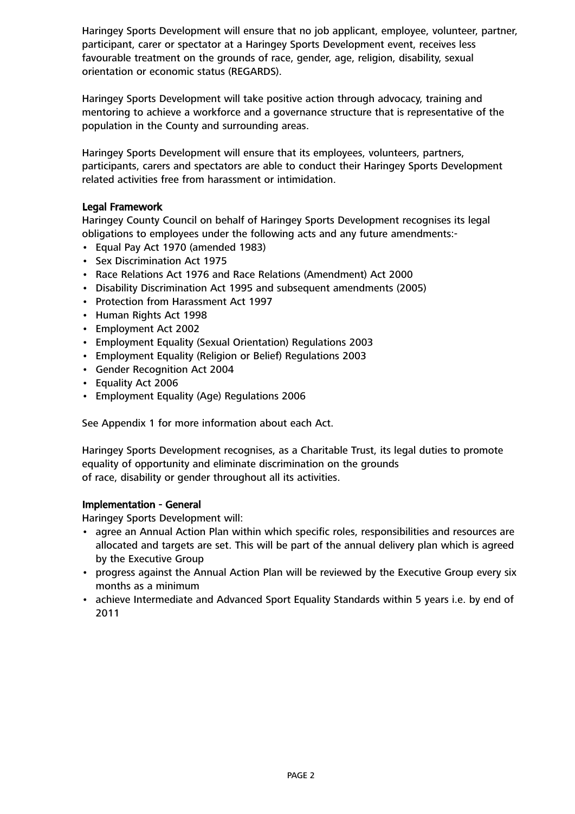Haringey Sports Development will ensure that no job applicant, employee, volunteer, partner, participant, carer or spectator at a Haringey Sports Development event, receives less favourable treatment on the grounds of race, gender, age, religion, disability, sexual orientation or economic status (REGARDS).

Haringey Sports Development will take positive action through advocacy, training and mentoring to achieve a workforce and a governance structure that is representative of the population in the County and surrounding areas.

Haringey Sports Development will ensure that its employees, volunteers, partners, participants, carers and spectators are able to conduct their Haringey Sports Development related activities free from harassment or intimidation.

# Legal Framework

Haringey County Council on behalf of Haringey Sports Development recognises its legal obligations to employees under the following acts and any future amendments:-

- Equal Pay Act 1970 (amended 1983)
- Sex Discrimination Act 1975
- Race Relations Act 1976 and Race Relations (Amendment) Act 2000
- Disability Discrimination Act 1995 and subsequent amendments (2005)
- Protection from Harassment Act 1997
- Human Rights Act 1998
- Employment Act 2002
- Employment Equality (Sexual Orientation) Regulations 2003
- Employment Equality (Religion or Belief) Regulations 2003
- Gender Recognition Act 2004
- Equality Act 2006
- Employment Equality (Age) Regulations 2006

See Appendix 1 for more information about each Act.

Haringey Sports Development recognises, as a Charitable Trust, its legal duties to promote equality of opportunity and eliminate discrimination on the grounds of race, disability or gender throughout all its activities.

#### Implementation - General

Haringey Sports Development will:

- agree an Annual Action Plan within which specific roles, responsibilities and resources are allocated and targets are set. This will be part of the annual delivery plan which is agreed by the Executive Group
- progress against the Annual Action Plan will be reviewed by the Executive Group every six months as a minimum
- achieve Intermediate and Advanced Sport Equality Standards within 5 years i.e. by end of 2011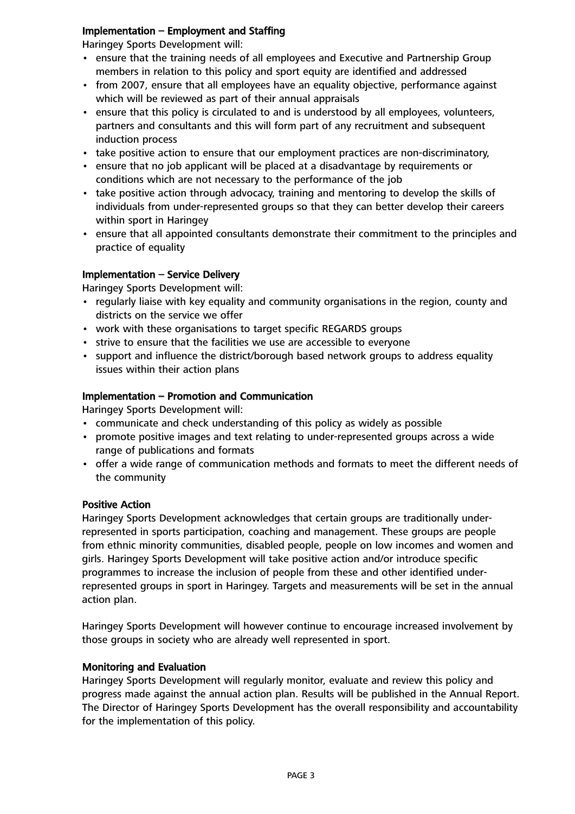### Implementation – Employment and Staffing

Haringey Sports Development will:

- ensure that the training needs of all employees and Executive and Partnership Group members in relation to this policy and sport equity are identified and addressed
- from 2007, ensure that all employees have an equality objective, performance against which will be reviewed as part of their annual appraisals
- ensure that this policy is circulated to and is understood by all employees, volunteers, partners and consultants and this will form part of any recruitment and subsequent induction process
- take positive action to ensure that our employment practices are non-discriminatory,
- ensure that no job applicant will be placed at a disadvantage by requirements or conditions which are not necessary to the performance of the job
- take positive action through advocacy, training and mentoring to develop the skills of individuals from under-represented groups so that they can better develop their careers within sport in Haringey
- ensure that all appointed consultants demonstrate their commitment to the principles and practice of equality

# Implementation – Service Delivery

Haringey Sports Development will:

- regularly liaise with key equality and community organisations in the region, county and districts on the service we offer
- work with these organisations to target specific REGARDS groups
- strive to ensure that the facilities we use are accessible to everyone
- support and influence the district/borough based network groups to address equality issues within their action plans

# Implementation – Promotion and Communication

Haringey Sports Development will:

- communicate and check understanding of this policy as widely as possible
- promote positive images and text relating to under-represented groups across a wide range of publications and formats
- offer a wide range of communication methods and formats to meet the different needs of the community

#### Positive Action

Haringey Sports Development acknowledges that certain groups are traditionally underrepresented in sports participation, coaching and management. These groups are people from ethnic minority communities, disabled people, people on low incomes and women and girls. Haringey Sports Development will take positive action and/or introduce specific programmes to increase the inclusion of people from these and other identified underrepresented groups in sport in Haringey. Targets and measurements will be set in the annual action plan.

Haringey Sports Development will however continue to encourage increased involvement by those groups in society who are already well represented in sport.

#### Monitoring and Evaluation

Haringey Sports Development will regularly monitor, evaluate and review this policy and progress made against the annual action plan. Results will be published in the Annual Report. The Director of Haringey Sports Development has the overall responsibility and accountability for the implementation of this policy.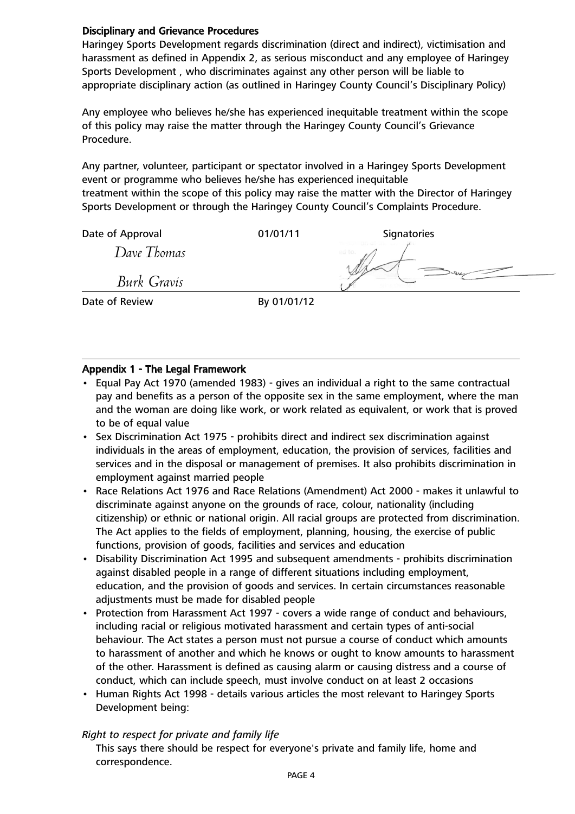### Disciplinary and Grievance Procedures

Haringey Sports Development regards discrimination (direct and indirect), victimisation and harassment as defined in Appendix 2, as serious misconduct and any employee of Haringey Sports Development , who discriminates against any other person will be liable to appropriate disciplinary action (as outlined in Haringey County Council's Disciplinary Policy)

Any employee who believes he/she has experienced inequitable treatment within the scope of this policy may raise the matter through the Haringey County Council's Grievance Procedure.

Any partner, volunteer, participant or spectator involved in a Haringey Sports Development event or programme who believes he/she has experienced inequitable treatment within the scope of this policy may raise the matter with the Director of Haringey Sports Development or through the Haringey County Council's Complaints Procedure.

Date of Approval **Date of Approval Date of Approval** 

*Dave Thomas*

*Burk Gravis*

Date of Review By 01/01/12

# Appendix 1 - The Legal Framework

- Equal Pay Act 1970 (amended 1983) gives an individual a right to the same contractual pay and benefits as a person of the opposite sex in the same employment, where the man and the woman are doing like work, or work related as equivalent, or work that is proved to be of equal value
- Sex Discrimination Act 1975 prohibits direct and indirect sex discrimination against individuals in the areas of employment, education, the provision of services, facilities and services and in the disposal or management of premises. It also prohibits discrimination in employment against married people
- Race Relations Act 1976 and Race Relations (Amendment) Act 2000 makes it unlawful to discriminate against anyone on the grounds of race, colour, nationality (including citizenship) or ethnic or national origin. All racial groups are protected from discrimination. The Act applies to the fields of employment, planning, housing, the exercise of public functions, provision of goods, facilities and services and education
- Disability Discrimination Act 1995 and subsequent amendments prohibits discrimination against disabled people in a range of different situations including employment, education, and the provision of goods and services. In certain circumstances reasonable adjustments must be made for disabled people
- Protection from Harassment Act 1997 covers a wide range of conduct and behaviours, including racial or religious motivated harassment and certain types of anti-social behaviour. The Act states a person must not pursue a course of conduct which amounts to harassment of another and which he knows or ought to know amounts to harassment of the other. Harassment is defined as causing alarm or causing distress and a course of conduct, which can include speech, must involve conduct on at least 2 occasions
- Human Rights Act 1998 details various articles the most relevant to Haringey Sports Development being:

#### *Right to respect for private and family life*

This says there should be respect for everyone's private and family life, home and correspondence.